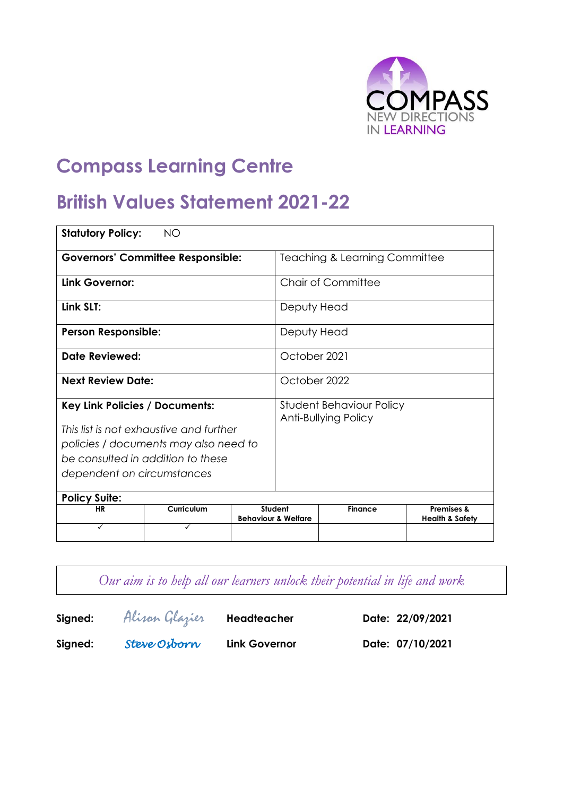

# **Compass Learning Centre**

# **British Values Statement 2021-22**

| <b>Statutory Policy:</b>                                                                                                                                                                     | <b>NO</b> |                                          |                                                  |                |                            |
|----------------------------------------------------------------------------------------------------------------------------------------------------------------------------------------------|-----------|------------------------------------------|--------------------------------------------------|----------------|----------------------------|
| <b>Governors' Committee Responsible:</b>                                                                                                                                                     |           | <b>Teaching &amp; Learning Committee</b> |                                                  |                |                            |
| Link Governor:                                                                                                                                                                               |           | <b>Chair of Committee</b>                |                                                  |                |                            |
| Link SLT:                                                                                                                                                                                    |           | Deputy Head                              |                                                  |                |                            |
| <b>Person Responsible:</b>                                                                                                                                                                   |           |                                          | Deputy Head                                      |                |                            |
| Date Reviewed:                                                                                                                                                                               |           |                                          | October 2021                                     |                |                            |
| <b>Next Review Date:</b>                                                                                                                                                                     |           |                                          | October 2022                                     |                |                            |
| <b>Key Link Policies / Documents:</b><br>This list is not exhaustive and further<br>policies / documents may also need to<br>be consulted in addition to these<br>dependent on circumstances |           |                                          | Student Behaviour Policy<br>Anti-Bullying Policy |                |                            |
| <b>Policy Suite:</b><br>Curriculum<br><b>HR</b>                                                                                                                                              |           |                                          | Student                                          | <b>Finance</b> | <b>Premises &amp;</b>      |
| $\checkmark$                                                                                                                                                                                 | ✓         |                                          | <b>Behaviour &amp; Welfare</b>                   |                | <b>Health &amp; Safety</b> |
|                                                                                                                                                                                              |           |                                          |                                                  |                |                            |

*Our aim is to help all our learners unlock their potential in life and work*

| Signed: | Alisan Glazier | Headteacher          | Date: 22/09/2021 |
|---------|----------------|----------------------|------------------|
| Signed: | Steve Osborn   | <b>Link Governor</b> | Date: 07/10/2021 |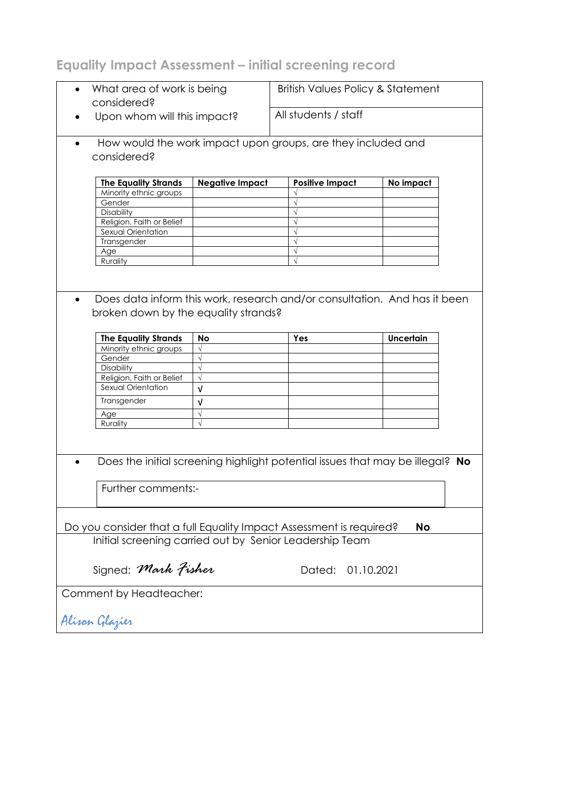**Equality Impact Assessment – initial screening record**

| What area of work is being<br>$\bullet$                             |                        |                                                                               |           |  |
|---------------------------------------------------------------------|------------------------|-------------------------------------------------------------------------------|-----------|--|
| considered?                                                         |                        | <b>British Values Policy &amp; Statement</b>                                  |           |  |
|                                                                     |                        |                                                                               |           |  |
| Upon whom will this impact?                                         |                        | All students / staff                                                          |           |  |
|                                                                     |                        |                                                                               |           |  |
|                                                                     |                        | How would the work impact upon groups, are they included and                  |           |  |
| considered?                                                         |                        |                                                                               |           |  |
|                                                                     |                        |                                                                               |           |  |
| <b>The Equality Strands</b>                                         | <b>Negative Impact</b> | <b>Positive Impact</b>                                                        | No impact |  |
| Minority ethnic groups                                              |                        |                                                                               |           |  |
| Gender                                                              |                        |                                                                               |           |  |
| Disability                                                          |                        |                                                                               |           |  |
| Religion, Faith or Belief                                           |                        |                                                                               |           |  |
| Sexual Orientation                                                  |                        |                                                                               |           |  |
| Transgender                                                         |                        |                                                                               |           |  |
| Age                                                                 |                        |                                                                               |           |  |
| Rurality                                                            |                        |                                                                               |           |  |
|                                                                     |                        |                                                                               |           |  |
|                                                                     |                        |                                                                               |           |  |
|                                                                     |                        | Does data inform this work, research and/or consultation. And has it been     |           |  |
| $\bullet$                                                           |                        |                                                                               |           |  |
| broken down by the equality strands?                                |                        |                                                                               |           |  |
|                                                                     |                        |                                                                               |           |  |
| <b>The Equality Strands</b>                                         | <b>No</b>              | Yes                                                                           | Uncertain |  |
|                                                                     |                        |                                                                               |           |  |
|                                                                     |                        |                                                                               |           |  |
| Minority ethnic groups                                              | $\sqrt{ }$             |                                                                               |           |  |
| Gender                                                              |                        |                                                                               |           |  |
| Disability                                                          | $\sqrt{ }$             |                                                                               |           |  |
| Religion, Faith or Belief                                           | $\sqrt{ }$             |                                                                               |           |  |
| Sexual Orientation                                                  | $\sqrt{ }$             |                                                                               |           |  |
| Transgender                                                         |                        |                                                                               |           |  |
|                                                                     | $\sqrt{ }$             |                                                                               |           |  |
| Age                                                                 | $\sqrt{ }$             |                                                                               |           |  |
| Rurality                                                            | $\sqrt{ }$             |                                                                               |           |  |
|                                                                     |                        |                                                                               |           |  |
|                                                                     |                        |                                                                               |           |  |
| $\bullet$                                                           |                        | Does the initial screening highlight potential issues that may be illegal? No |           |  |
|                                                                     |                        |                                                                               |           |  |
|                                                                     |                        |                                                                               |           |  |
| Further comments:-                                                  |                        |                                                                               |           |  |
|                                                                     |                        |                                                                               |           |  |
|                                                                     |                        |                                                                               |           |  |
|                                                                     |                        |                                                                               |           |  |
| Do you consider that a full Equality Impact Assessment is required? |                        |                                                                               | No        |  |
|                                                                     |                        | Initial screening carried out by Senior Leadership Team                       |           |  |
|                                                                     |                        |                                                                               |           |  |
|                                                                     |                        |                                                                               |           |  |
| Signed: Mark Fisher                                                 |                        | 01.10.2021<br>Dated:                                                          |           |  |
|                                                                     |                        |                                                                               |           |  |
|                                                                     |                        |                                                                               |           |  |
| Comment by Headteacher:                                             |                        |                                                                               |           |  |
| Alisan Glazier                                                      |                        |                                                                               |           |  |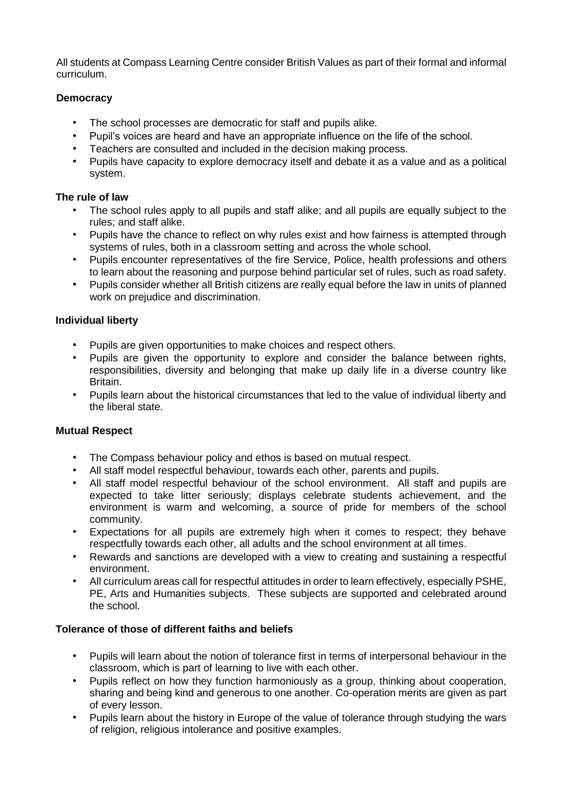All students at Compass Learning Centre consider British Values as part of their formal and informal curriculum.

### **Democracy**

- The school processes are democratic for staff and pupils alike.
- Pupil's voices are heard and have an appropriate influence on the life of the school.
- Teachers are consulted and included in the decision making process.
- Pupils have capacity to explore democracy itself and debate it as a value and as a political system.

#### **The rule of law**

- The school rules apply to all pupils and staff alike; and all pupils are equally subject to the rules; and staff alike.
- Pupils have the chance to reflect on why rules exist and how fairness is attempted through systems of rules, both in a classroom setting and across the whole school.
- Pupils encounter representatives of the fire Service, Police, health professions and others to learn about the reasoning and purpose behind particular set of rules, such as road safety.
- Pupils consider whether all British citizens are really equal before the law in units of planned work on prejudice and discrimination.

### **Individual liberty**

- Pupils are given opportunities to make choices and respect others.
- Pupils are given the opportunity to explore and consider the balance between rights, responsibilities, diversity and belonging that make up daily life in a diverse country like Britain.
- Pupils learn about the historical circumstances that led to the value of individual liberty and the liberal state.

#### **Mutual Respect**

- The Compass behaviour policy and ethos is based on mutual respect.
- All staff model respectful behaviour, towards each other, parents and pupils.
- All staff model respectful behaviour of the school environment. All staff and pupils are expected to take litter seriously; displays celebrate students achievement, and the environment is warm and welcoming, a source of pride for members of the school community.
- Expectations for all pupils are extremely high when it comes to respect; they behave respectfully towards each other, all adults and the school environment at all times.
- Rewards and sanctions are developed with a view to creating and sustaining a respectful environment.
- All curriculum areas call for respectful attitudes in order to learn effectively, especially PSHE, PE, Arts and Humanities subjects. These subjects are supported and celebrated around the school.

## **Tolerance of those of different faiths and beliefs**

- Pupils will learn about the notion of tolerance first in terms of interpersonal behaviour in the classroom, which is part of learning to live with each other.
- Pupils reflect on how they function harmoniously as a group, thinking about cooperation, sharing and being kind and generous to one another. Co-operation merits are given as part of every lesson.
- Pupils learn about the history in Europe of the value of tolerance through studying the wars of religion, religious intolerance and positive examples.